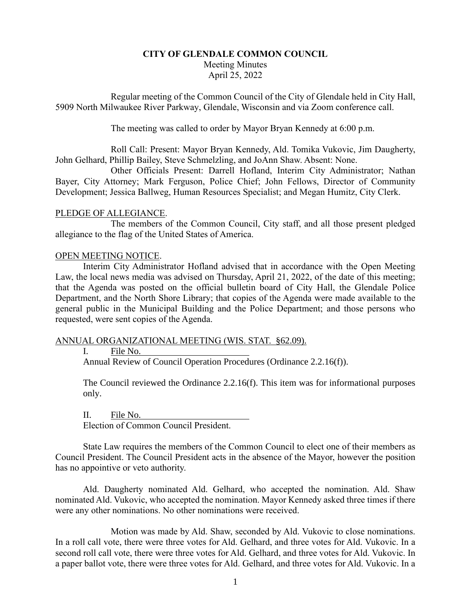# **CITY OF GLENDALE COMMON COUNCIL** Meeting Minutes April 25, 2022

Regular meeting of the Common Council of the City of Glendale held in City Hall, 5909 North Milwaukee River Parkway, Glendale, Wisconsin and via Zoom conference call.

The meeting was called to order by Mayor Bryan Kennedy at 6:00 p.m.

Roll Call: Present: Mayor Bryan Kennedy, Ald. Tomika Vukovic, Jim Daugherty, John Gelhard, Phillip Bailey, Steve Schmelzling, and JoAnn Shaw. Absent: None.

Other Officials Present: Darrell Hofland, Interim City Administrator; Nathan Bayer, City Attorney; Mark Ferguson, Police Chief; John Fellows, Director of Community Development; Jessica Ballweg, Human Resources Specialist; and Megan Humitz, City Clerk.

# PLEDGE OF ALLEGIANCE.

The members of the Common Council, City staff, and all those present pledged allegiance to the flag of the United States of America.

### OPEN MEETING NOTICE.

Interim City Administrator Hofland advised that in accordance with the Open Meeting Law, the local news media was advised on Thursday, April 21, 2022, of the date of this meeting; that the Agenda was posted on the official bulletin board of City Hall, the Glendale Police Department, and the North Shore Library; that copies of the Agenda were made available to the general public in the Municipal Building and the Police Department; and those persons who requested, were sent copies of the Agenda.

# ANNUAL ORGANIZATIONAL MEETING (WIS. STAT. §62.09).

I. File No.

Annual Review of Council Operation Procedures (Ordinance 2.2.16(f)).

The Council reviewed the Ordinance 2.2.16(f). This item was for informational purposes only.

II. File No. Election of Common Council President.

State Law requires the members of the Common Council to elect one of their members as Council President. The Council President acts in the absence of the Mayor, however the position has no appointive or veto authority.

Ald. Daugherty nominated Ald. Gelhard, who accepted the nomination. Ald. Shaw nominated Ald. Vukovic, who accepted the nomination. Mayor Kennedy asked three times if there were any other nominations. No other nominations were received.

Motion was made by Ald. Shaw, seconded by Ald. Vukovic to close nominations. In a roll call vote, there were three votes for Ald. Gelhard, and three votes for Ald. Vukovic. In a second roll call vote, there were three votes for Ald. Gelhard, and three votes for Ald. Vukovic. In a paper ballot vote, there were three votes for Ald. Gelhard, and three votes for Ald. Vukovic. In a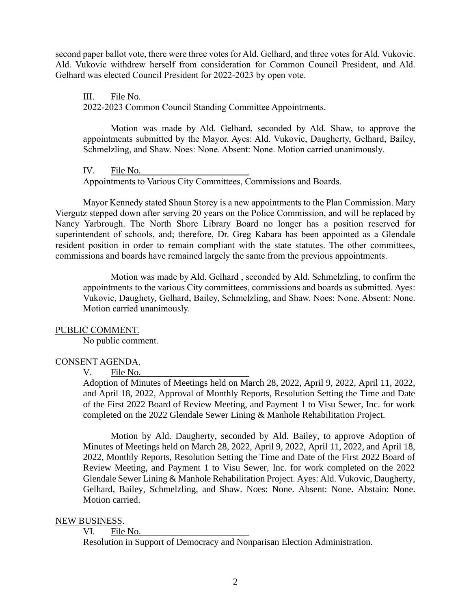second paper ballot vote, there were three votes for Ald. Gelhard, and three votes for Ald. Vukovic. Ald. Vukovic withdrew herself from consideration for Common Council President, and Ald. Gelhard was elected Council President for 2022-2023 by open vote.

III. File No. 2022-2023 Common Council Standing Committee Appointments.

Motion was made by Ald. Gelhard, seconded by Ald. Shaw, to approve the appointments submitted by the Mayor. Ayes: Ald. Vukovic, Daugherty, Gelhard, Bailey, Schmelzling, and Shaw. Noes: None. Absent: None. Motion carried unanimously.

IV. File No. Appointments to Various City Committees, Commissions and Boards.

Mayor Kennedy stated Shaun Storey is a new appointments to the Plan Commission. Mary Viergutz stepped down after serving 20 years on the Police Commission, and will be replaced by Nancy Yarbrough. The North Shore Library Board no longer has a position reserved for superintendent of schools, and; therefore, Dr. Greg Kabara has been appointed as a Glendale resident position in order to remain compliant with the state statutes. The other committees, commissions and boards have remained largely the same from the previous appointments.

Motion was made by Ald. Gelhard , seconded by Ald. Schmelzling, to confirm the appointments to the various City committees, commissions and boards as submitted. Ayes: Vukovic, Daughety, Gelhard, Bailey, Schmelzling, and Shaw. Noes: None. Absent: None. Motion carried unanimously.

# PUBLIC COMMENT.

No public comment.

# CONSENT AGENDA.

# V. File No.

Adoption of Minutes of Meetings held on March 28, 2022, April 9, 2022, April 11, 2022, and April 18, 2022, Approval of Monthly Reports, Resolution Setting the Time and Date of the First 2022 Board of Review Meeting, and Payment 1 to Visu Sewer, Inc. for work completed on the 2022 Glendale Sewer Lining & Manhole Rehabilitation Project.

Motion by Ald. Daugherty, seconded by Ald. Bailey, to approve Adoption of Minutes of Meetings held on March 28, 2022, April 9, 2022, April 11, 2022, and April 18, 2022, Monthly Reports, Resolution Setting the Time and Date of the First 2022 Board of Review Meeting, and Payment 1 to Visu Sewer, Inc. for work completed on the 2022 Glendale Sewer Lining & Manhole Rehabilitation Project. Ayes: Ald. Vukovic, Daugherty, Gelhard, Bailey, Schmelzling, and Shaw. Noes: None. Absent: None. Abstain: None. Motion carried.

#### NEW BUSINESS.

#### VI. File No.

Resolution in Support of Democracy and Nonparisan Election Administration.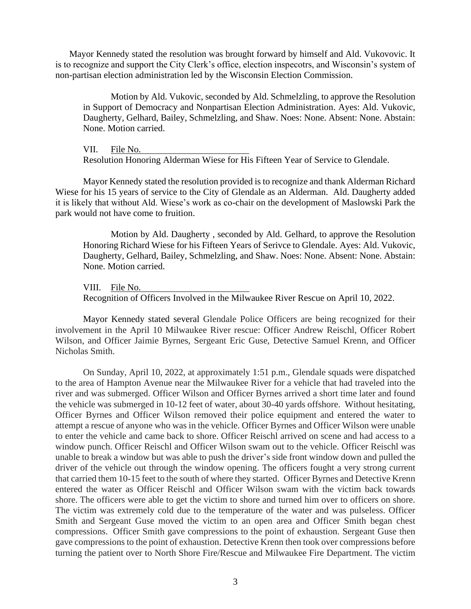Mayor Kennedy stated the resolution was brought forward by himself and Ald. Vukovovic. It is to recognize and support the City Clerk's office, election inspecotrs, and Wisconsin's system of non-partisan election administration led by the Wisconsin Election Commission.

Motion by Ald. Vukovic, seconded by Ald. Schmelzling, to approve the Resolution in Support of Democracy and Nonpartisan Election Administration. Ayes: Ald. Vukovic, Daugherty, Gelhard, Bailey, Schmelzling, and Shaw. Noes: None. Absent: None. Abstain: None. Motion carried.

VII. File No. Resolution Honoring Alderman Wiese for His Fifteen Year of Service to Glendale.

Mayor Kennedy stated the resolution provided is to recognize and thank Alderman Richard Wiese for his 15 years of service to the City of Glendale as an Alderman. Ald. Daugherty added it is likely that without Ald. Wiese's work as co-chair on the development of Maslowski Park the park would not have come to fruition.

Motion by Ald. Daugherty , seconded by Ald. Gelhard, to approve the Resolution Honoring Richard Wiese for his Fifteen Years of Serivce to Glendale. Ayes: Ald. Vukovic, Daugherty, Gelhard, Bailey, Schmelzling, and Shaw. Noes: None. Absent: None. Abstain: None. Motion carried.

VIII. File No.

Recognition of Officers Involved in the Milwaukee River Rescue on April 10, 2022.

Mayor Kennedy stated several Glendale Police Officers are being recognized for their involvement in the April 10 Milwaukee River rescue: Officer Andrew Reischl, Officer Robert Wilson, and Officer Jaimie Byrnes, Sergeant Eric Guse, Detective Samuel Krenn, and Officer Nicholas Smith.

On Sunday, April 10, 2022, at approximately 1:51 p.m., Glendale squads were dispatched to the area of Hampton Avenue near the Milwaukee River for a vehicle that had traveled into the river and was submerged. Officer Wilson and Officer Byrnes arrived a short time later and found the vehicle was submerged in 10-12 feet of water, about 30-40 yards offshore. Without hesitating, Officer Byrnes and Officer Wilson removed their police equipment and entered the water to attempt a rescue of anyone who was in the vehicle. Officer Byrnes and Officer Wilson were unable to enter the vehicle and came back to shore. Officer Reischl arrived on scene and had access to a window punch. Officer Reischl and Officer Wilson swam out to the vehicle. Officer Reischl was unable to break a window but was able to push the driver's side front window down and pulled the driver of the vehicle out through the window opening. The officers fought a very strong current that carried them 10-15 feet to the south of where they started. Officer Byrnes and Detective Krenn entered the water as Officer Reischl and Officer Wilson swam with the victim back towards shore. The officers were able to get the victim to shore and turned him over to officers on shore. The victim was extremely cold due to the temperature of the water and was pulseless. Officer Smith and Sergeant Guse moved the victim to an open area and Officer Smith began chest compressions. Officer Smith gave compressions to the point of exhaustion. Sergeant Guse then gave compressions to the point of exhaustion. Detective Krenn then took over compressions before turning the patient over to North Shore Fire/Rescue and Milwaukee Fire Department. The victim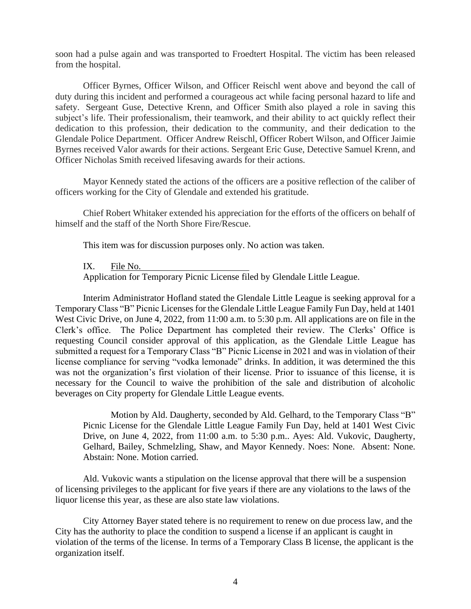soon had a pulse again and was transported to Froedtert Hospital. The victim has been released from the hospital.

Officer Byrnes, Officer Wilson, and Officer Reischl went above and beyond the call of duty during this incident and performed a courageous act while facing personal hazard to life and safety. Sergeant Guse, Detective Krenn, and Officer Smith also played a role in saving this subject's life. Their professionalism, their teamwork, and their ability to act quickly reflect their dedication to this profession, their dedication to the community, and their dedication to the Glendale Police Department. Officer Andrew Reischl, Officer Robert Wilson, and Officer Jaimie Byrnes received Valor awards for their actions. Sergeant Eric Guse, Detective Samuel Krenn, and Officer Nicholas Smith received lifesaving awards for their actions.

Mayor Kennedy stated the actions of the officers are a positive reflection of the caliber of officers working for the City of Glendale and extended his gratitude.

Chief Robert Whitaker extended his appreciation for the efforts of the officers on behalf of himself and the staff of the North Shore Fire/Rescue.

This item was for discussion purposes only. No action was taken.

#### IX. File No.

Application for Temporary Picnic License filed by Glendale Little League.

Interim Administrator Hofland stated the Glendale Little League is seeking approval for a Temporary Class "B" Picnic Licenses for the Glendale Little League Family Fun Day, held at 1401 West Civic Drive, on June 4, 2022, from 11:00 a.m. to 5:30 p.m. All applications are on file in the Clerk's office. The Police Department has completed their review. The Clerks' Office is requesting Council consider approval of this application, as the Glendale Little League has submitted a request for a Temporary Class "B" Picnic License in 2021 and was in violation of their license compliance for serving "vodka lemonade" drinks. In addition, it was determined the this was not the organization's first violation of their license. Prior to issuance of this license, it is necessary for the Council to waive the prohibition of the sale and distribution of alcoholic beverages on City property for Glendale Little League events.

Motion by Ald. Daugherty, seconded by Ald. Gelhard, to the Temporary Class "B" Picnic License for the Glendale Little League Family Fun Day, held at 1401 West Civic Drive, on June 4, 2022, from 11:00 a.m. to 5:30 p.m.. Ayes: Ald. Vukovic, Daugherty, Gelhard, Bailey, Schmelzling, Shaw, and Mayor Kennedy. Noes: None. Absent: None. Abstain: None. Motion carried.

Ald. Vukovic wants a stipulation on the license approval that there will be a suspension of licensing privileges to the applicant for five years if there are any violations to the laws of the liquor license this year, as these are also state law violations.

City Attorney Bayer stated tehere is no requirement to renew on due process law, and the City has the authority to place the condition to suspend a license if an applicant is caught in violation of the terms of the license. In terms of a Temporary Class B license, the applicant is the organization itself.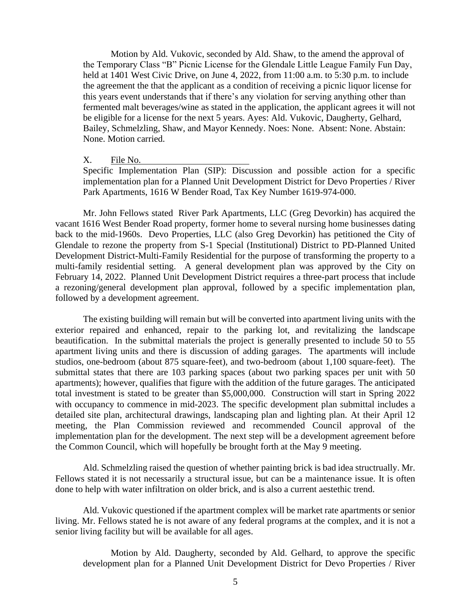Motion by Ald. Vukovic, seconded by Ald. Shaw, to the amend the approval of the Temporary Class "B" Picnic License for the Glendale Little League Family Fun Day, held at 1401 West Civic Drive, on June 4, 2022, from 11:00 a.m. to 5:30 p.m. to include the agreement the that the applicant as a condition of receiving a picnic liquor license for this years event understands that if there's any violation for serving anything other than fermented malt beverages/wine as stated in the application, the applicant agrees it will not be eligible for a license for the next 5 years. Ayes: Ald. Vukovic, Daugherty, Gelhard, Bailey, Schmelzling, Shaw, and Mayor Kennedy. Noes: None. Absent: None. Abstain: None. Motion carried.

#### X. File No.

Specific Implementation Plan (SIP): Discussion and possible action for a specific implementation plan for a Planned Unit Development District for Devo Properties / River Park Apartments, 1616 W Bender Road, Tax Key Number 1619-974-000.

Mr. John Fellows stated River Park Apartments, LLC (Greg Devorkin) has acquired the vacant 1616 West Bender Road property, former home to several nursing home businesses dating back to the mid-1960s. Devo Properties, LLC (also Greg Devorkin) has petitioned the City of Glendale to rezone the property from S-1 Special (Institutional) District to PD-Planned United Development District-Multi-Family Residential for the purpose of transforming the property to a multi-family residential setting. A general development plan was approved by the City on February 14, 2022. Planned Unit Development District requires a three-part process that include a rezoning/general development plan approval, followed by a specific implementation plan, followed by a development agreement.

The existing building will remain but will be converted into apartment living units with the exterior repaired and enhanced, repair to the parking lot, and revitalizing the landscape beautification. In the submittal materials the project is generally presented to include 50 to 55 apartment living units and there is discussion of adding garages. The apartments will include studios, one-bedroom (about 875 square-feet), and two-bedroom (about 1,100 square-feet). The submittal states that there are 103 parking spaces (about two parking spaces per unit with 50 apartments); however, qualifies that figure with the addition of the future garages. The anticipated total investment is stated to be greater than \$5,000,000. Construction will start in Spring 2022 with occupancy to commence in mid-2023. The specific development plan submittal includes a detailed site plan, architectural drawings, landscaping plan and lighting plan. At their April 12 meeting, the Plan Commission reviewed and recommended Council approval of the implementation plan for the development. The next step will be a development agreement before the Common Council, which will hopefully be brought forth at the May 9 meeting.

Ald. Schmelzling raised the question of whether painting brick is bad idea structrually. Mr. Fellows stated it is not necessarily a structural issue, but can be a maintenance issue. It is often done to help with water infiltration on older brick, and is also a current aestethic trend.

Ald. Vukovic questioned if the apartment complex will be market rate apartments or senior living. Mr. Fellows stated he is not aware of any federal programs at the complex, and it is not a senior living facility but will be available for all ages.

Motion by Ald. Daugherty, seconded by Ald. Gelhard, to approve the specific development plan for a Planned Unit Development District for Devo Properties / River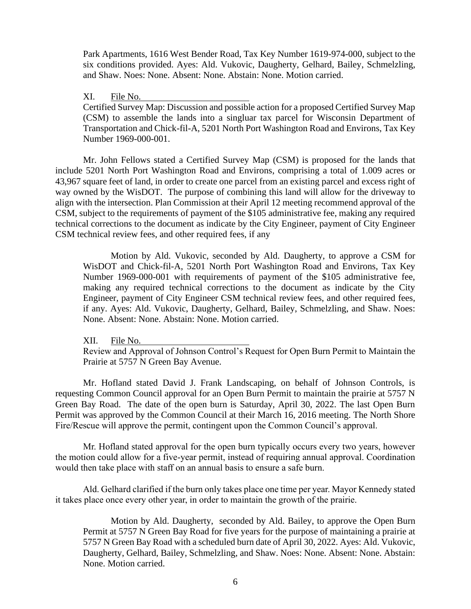Park Apartments, 1616 West Bender Road, Tax Key Number 1619-974-000, subject to the six conditions provided. Ayes: Ald. Vukovic, Daugherty, Gelhard, Bailey, Schmelzling, and Shaw. Noes: None. Absent: None. Abstain: None. Motion carried.

XI. File No.

Certified Survey Map: Discussion and possible action for a proposed Certified Survey Map (CSM) to assemble the lands into a singluar tax parcel for Wisconsin Department of Transportation and Chick-fil-A, 5201 North Port Washington Road and Environs, Tax Key Number 1969-000-001.

Mr. John Fellows stated a Certified Survey Map (CSM) is proposed for the lands that include 5201 North Port Washington Road and Environs, comprising a total of 1.009 acres or 43,967 square feet of land, in order to create one parcel from an existing parcel and excess right of way owned by the WisDOT. The purpose of combining this land will allow for the driveway to align with the intersection. Plan Commission at their April 12 meeting recommend approval of the CSM, subject to the requirements of payment of the \$105 administrative fee, making any required technical corrections to the document as indicate by the City Engineer, payment of City Engineer CSM technical review fees, and other required fees, if any

Motion by Ald. Vukovic, seconded by Ald. Daugherty, to approve a CSM for WisDOT and Chick-fil-A, 5201 North Port Washington Road and Environs, Tax Key Number 1969-000-001 with requirements of payment of the \$105 administrative fee, making any required technical corrections to the document as indicate by the City Engineer, payment of City Engineer CSM technical review fees, and other required fees, if any. Ayes: Ald. Vukovic, Daugherty, Gelhard, Bailey, Schmelzling, and Shaw. Noes: None. Absent: None. Abstain: None. Motion carried.

XII. File No.

Review and Approval of Johnson Control's Request for Open Burn Permit to Maintain the Prairie at 5757 N Green Bay Avenue.

Mr. Hofland stated David J. Frank Landscaping, on behalf of Johnson Controls, is requesting Common Council approval for an Open Burn Permit to maintain the prairie at 5757 N Green Bay Road. The date of the open burn is Saturday, April 30, 2022. The last Open Burn Permit was approved by the Common Council at their March 16, 2016 meeting. The North Shore Fire/Rescue will approve the permit, contingent upon the Common Council's approval.

Mr. Hofland stated approval for the open burn typically occurs every two years, however the motion could allow for a five-year permit, instead of requiring annual approval. Coordination would then take place with staff on an annual basis to ensure a safe burn.

Ald. Gelhard clarified if the burn only takes place one time per year. Mayor Kennedy stated it takes place once every other year, in order to maintain the growth of the prairie.

Motion by Ald. Daugherty, seconded by Ald. Bailey, to approve the Open Burn Permit at 5757 N Green Bay Road for five years for the purpose of maintaining a prairie at 5757 N Green Bay Road with a scheduled burn date of April 30, 2022. Ayes: Ald. Vukovic, Daugherty, Gelhard, Bailey, Schmelzling, and Shaw. Noes: None. Absent: None. Abstain: None. Motion carried.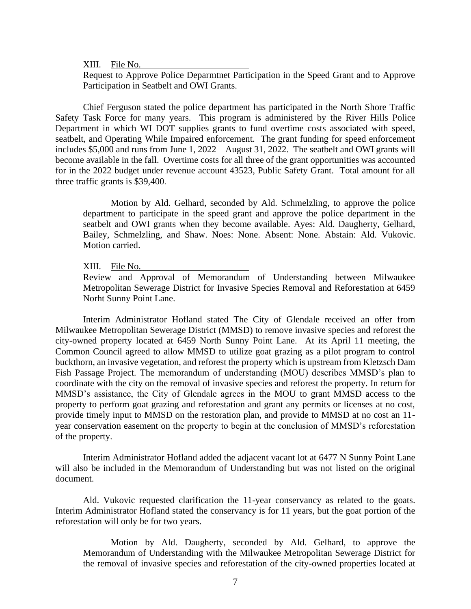XIII. File No.

Request to Approve Police Deparmtnet Participation in the Speed Grant and to Approve Participation in Seatbelt and OWI Grants.

Chief Ferguson stated the police department has participated in the North Shore Traffic Safety Task Force for many years. This program is administered by the River Hills Police Department in which WI DOT supplies grants to fund overtime costs associated with speed, seatbelt, and Operating While Impaired enforcement. The grant funding for speed enforcement includes \$5,000 and runs from June 1, 2022 – August 31, 2022. The seatbelt and OWI grants will become available in the fall. Overtime costs for all three of the grant opportunities was accounted for in the 2022 budget under revenue account 43523, Public Safety Grant. Total amount for all three traffic grants is \$39,400.

Motion by Ald. Gelhard, seconded by Ald. Schmelzling, to approve the police department to participate in the speed grant and approve the police department in the seatbelt and OWI grants when they become available. Ayes: Ald. Daugherty, Gelhard, Bailey, Schmelzling, and Shaw. Noes: None. Absent: None. Abstain: Ald. Vukovic. Motion carried.

XIII. File No.

Review and Approval of Memorandum of Understanding between Milwaukee Metropolitan Sewerage District for Invasive Species Removal and Reforestation at 6459 Norht Sunny Point Lane.

Interim Administrator Hofland stated The City of Glendale received an offer from Milwaukee Metropolitan Sewerage District (MMSD) to remove invasive species and reforest the city-owned property located at 6459 North Sunny Point Lane. At its April 11 meeting, the Common Council agreed to allow MMSD to utilize goat grazing as a pilot program to control buckthorn, an invasive vegetation, and reforest the property which is upstream from Kletzsch Dam Fish Passage Project. The memorandum of understanding (MOU) describes MMSD's plan to coordinate with the city on the removal of invasive species and reforest the property. In return for MMSD's assistance, the City of Glendale agrees in the MOU to grant MMSD access to the property to perform goat grazing and reforestation and grant any permits or licenses at no cost, provide timely input to MMSD on the restoration plan, and provide to MMSD at no cost an 11 year conservation easement on the property to begin at the conclusion of MMSD's reforestation of the property.

Interim Administrator Hofland added the adjacent vacant lot at 6477 N Sunny Point Lane will also be included in the Memorandum of Understanding but was not listed on the original document.

Ald. Vukovic requested clarification the 11-year conservancy as related to the goats. Interim Administrator Hofland stated the conservancy is for 11 years, but the goat portion of the reforestation will only be for two years.

Motion by Ald. Daugherty, seconded by Ald. Gelhard, to approve the Memorandum of Understanding with the Milwaukee Metropolitan Sewerage District for the removal of invasive species and reforestation of the city-owned properties located at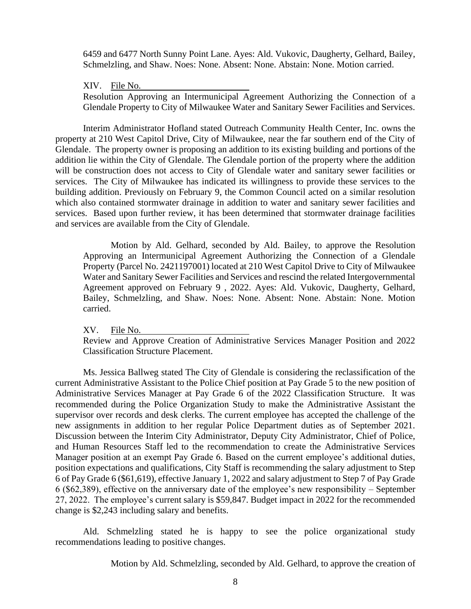6459 and 6477 North Sunny Point Lane. Ayes: Ald. Vukovic, Daugherty, Gelhard, Bailey, Schmelzling, and Shaw. Noes: None. Absent: None. Abstain: None. Motion carried.

XIV. File No.

Resolution Approving an Intermunicipal Agreement Authorizing the Connection of a Glendale Property to City of Milwaukee Water and Sanitary Sewer Facilities and Services.

Interim Administrator Hofland stated Outreach Community Health Center, Inc. owns the property at 210 West Capitol Drive, City of Milwaukee, near the far southern end of the City of Glendale. The property owner is proposing an addition to its existing building and portions of the addition lie within the City of Glendale. The Glendale portion of the property where the addition will be construction does not access to City of Glendale water and sanitary sewer facilities or services. The City of Milwaukee has indicated its willingness to provide these services to the building addition. Previously on February 9, the Common Council acted on a similar resolution which also contained stormwater drainage in addition to water and sanitary sewer facilities and services. Based upon further review, it has been determined that stormwater drainage facilities and services are available from the City of Glendale.

Motion by Ald. Gelhard, seconded by Ald. Bailey, to approve the Resolution Approving an Intermunicipal Agreement Authorizing the Connection of a Glendale Property (Parcel No. 2421197001) located at 210 West Capitol Drive to City of Milwaukee Water and Sanitary Sewer Facilities and Services and rescind the related Intergovernmental Agreement approved on February 9 , 2022. Ayes: Ald. Vukovic, Daugherty, Gelhard, Bailey, Schmelzling, and Shaw. Noes: None. Absent: None. Abstain: None. Motion carried.

XV. File No.

Review and Approve Creation of Administrative Services Manager Position and 2022 Classification Structure Placement.

Ms. Jessica Ballweg stated The City of Glendale is considering the reclassification of the current Administrative Assistant to the Police Chief position at Pay Grade 5 to the new position of Administrative Services Manager at Pay Grade 6 of the 2022 Classification Structure. It was recommended during the Police Organization Study to make the Administrative Assistant the supervisor over records and desk clerks. The current employee has accepted the challenge of the new assignments in addition to her regular Police Department duties as of September 2021. Discussion between the Interim City Administrator, Deputy City Administrator, Chief of Police, and Human Resources Staff led to the recommendation to create the Administrative Services Manager position at an exempt Pay Grade 6. Based on the current employee's additional duties, position expectations and qualifications, City Staff is recommending the salary adjustment to Step 6 of Pay Grade 6 (\$61,619), effective January 1, 2022 and salary adjustment to Step 7 of Pay Grade 6 (\$62,389), effective on the anniversary date of the employee's new responsibility – September 27, 2022. The employee's current salary is \$59,847. Budget impact in 2022 for the recommended change is \$2,243 including salary and benefits.

Ald. Schmelzling stated he is happy to see the police organizational study recommendations leading to positive changes.

Motion by Ald. Schmelzling, seconded by Ald. Gelhard, to approve the creation of